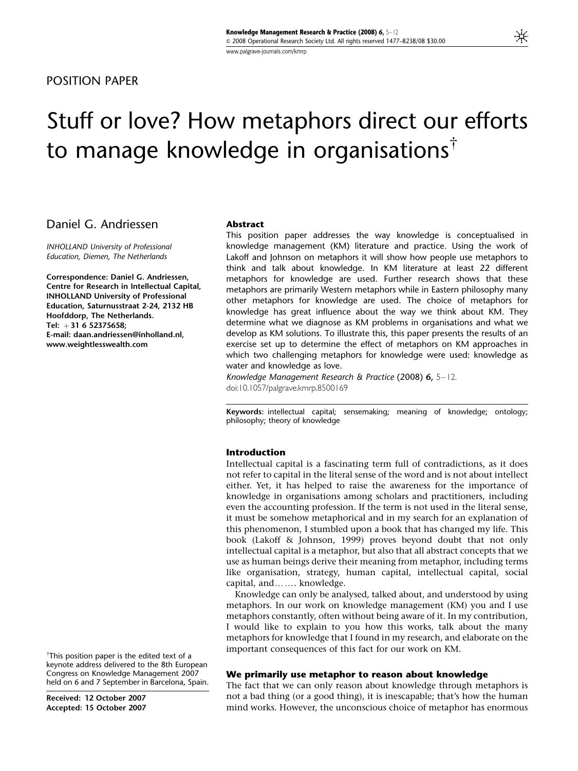POSITION PAPER

# Stuff or love? How metaphors direct our efforts to manage knowledge in organisations<sup>†</sup>

# Daniel G. Andriessen

INHOLLAND University of Professional Education, Diemen, The Netherlands

Correspondence: Daniel G. Andriessen, Centre for Research in Intellectual Capital, INHOLLAND University of Professional Education, Saturnusstraat 2-24, 2132 HB Hoofddorp, The Netherlands. Tel:  $+31652375658;$ E-mail: daan.andriessen@inholland.nl, www.weightlesswealth.com

#### Abstract

This position paper addresses the way knowledge is conceptualised in knowledge management (KM) literature and practice. Using the work of Lakoff and Johnson on metaphors it will show how people use metaphors to think and talk about knowledge. In KM literature at least 22 different metaphors for knowledge are used. Further research shows that these metaphors are primarily Western metaphors while in Eastern philosophy many other metaphors for knowledge are used. The choice of metaphors for knowledge has great influence about the way we think about KM. They determine what we diagnose as KM problems in organisations and what we develop as KM solutions. To illustrate this, this paper presents the results of an exercise set up to determine the effect of metaphors on KM approaches in which two challenging metaphors for knowledge were used: knowledge as water and knowledge as love.

Knowledge Management Research & Practice (2008) 6, 5–12. doi:10.1057/palgrave.kmrp.8500169

Keywords: intellectual capital; sensemaking; meaning of knowledge; ontology; philosophy; theory of knowledge

# Introduction

Intellectual capital is a fascinating term full of contradictions, as it does not refer to capital in the literal sense of the word and is not about intellect either. Yet, it has helped to raise the awareness for the importance of knowledge in organisations among scholars and practitioners, including even the accounting profession. If the term is not used in the literal sense, it must be somehow metaphorical and in my search for an explanation of this phenomenon, I stumbled upon a book that has changed my life. This book (Lakoff & Johnson, 1999) proves beyond doubt that not only intellectual capital is a metaphor, but also that all abstract concepts that we use as human beings derive their meaning from metaphor, including terms like organisation, strategy, human capital, intellectual capital, social capital, and ... ... knowledge.

Knowledge can only be analysed, talked about, and understood by using metaphors. In our work on knowledge management (KM) you and I use metaphors constantly, often without being aware of it. In my contribution, I would like to explain to you how this works, talk about the many metaphors for knowledge that I found in my research, and elaborate on the important consequences of this fact for our work on KM.

 $^\mathrm{\tau}$ This position paper is the edited text of a keynote address delivered to the 8th European Congress on Knowledge Management 2007 held on 6 and 7 September in Barcelona, Spain.

Received: 12 October 2007 Accepted: 15 October 2007

# We primarily use metaphor to reason about knowledge

The fact that we can only reason about knowledge through metaphors is not a bad thing (or a good thing), it is inescapable; that's how the human mind works. However, the unconscious choice of metaphor has enormous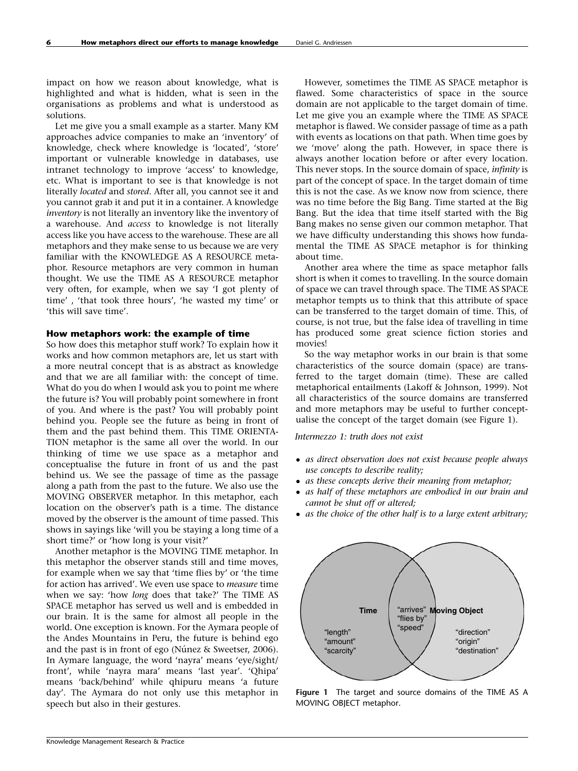impact on how we reason about knowledge, what is highlighted and what is hidden, what is seen in the organisations as problems and what is understood as solutions.

Let me give you a small example as a starter. Many KM approaches advice companies to make an 'inventory' of knowledge, check where knowledge is 'located', 'store' important or vulnerable knowledge in databases, use intranet technology to improve 'access' to knowledge, etc. What is important to see is that knowledge is not literally located and stored. After all, you cannot see it and you cannot grab it and put it in a container. A knowledge inventory is not literally an inventory like the inventory of a warehouse. And access to knowledge is not literally access like you have access to the warehouse. These are all metaphors and they make sense to us because we are very familiar with the KNOWLEDGE AS A RESOURCE metaphor. Resource metaphors are very common in human thought. We use the TIME AS A RESOURCE metaphor very often, for example, when we say 'I got plenty of time' , 'that took three hours', 'he wasted my time' or 'this will save time'.

### How metaphors work: the example of time

So how does this metaphor stuff work? To explain how it works and how common metaphors are, let us start with a more neutral concept that is as abstract as knowledge and that we are all familiar with: the concept of time. What do you do when I would ask you to point me where the future is? You will probably point somewhere in front of you. And where is the past? You will probably point behind you. People see the future as being in front of them and the past behind them. This TIME ORIENTA-TION metaphor is the same all over the world. In our thinking of time we use space as a metaphor and conceptualise the future in front of us and the past behind us. We see the passage of time as the passage along a path from the past to the future. We also use the MOVING OBSERVER metaphor. In this metaphor, each location on the observer's path is a time. The distance moved by the observer is the amount of time passed. This shows in sayings like 'will you be staying a long time of a short time?' or 'how long is your visit?'

Another metaphor is the MOVING TIME metaphor. In this metaphor the observer stands still and time moves, for example when we say that 'time flies by' or 'the time for action has arrived'. We even use space to measure time when we say: 'how long does that take?' The TIME AS SPACE metaphor has served us well and is embedded in our brain. It is the same for almost all people in the world. One exception is known. For the Aymara people of the Andes Mountains in Peru, the future is behind ego and the past is in front of ego (Núnez & Sweetser, 2006). In Aymare language, the word 'nayra' means 'eye/sight/ front', while 'nayra mara' means 'last year'. 'Qhipa' means 'back/behind' while qhipuru means 'a future day'. The Aymara do not only use this metaphor in speech but also in their gestures.

However, sometimes the TIME AS SPACE metaphor is flawed. Some characteristics of space in the source domain are not applicable to the target domain of time. Let me give you an example where the TIME AS SPACE metaphor is flawed. We consider passage of time as a path with events as locations on that path. When time goes by we 'move' along the path. However, in space there is always another location before or after every location. This never stops. In the source domain of space, infinity is part of the concept of space. In the target domain of time this is not the case. As we know now from science, there was no time before the Big Bang. Time started at the Big Bang. But the idea that time itself started with the Big Bang makes no sense given our common metaphor. That we have difficulty understanding this shows how fundamental the TIME AS SPACE metaphor is for thinking about time.

Another area where the time as space metaphor falls short is when it comes to travelling. In the source domain of space we can travel through space. The TIME AS SPACE metaphor tempts us to think that this attribute of space can be transferred to the target domain of time. This, of course, is not true, but the false idea of travelling in time has produced some great science fiction stories and movies!

So the way metaphor works in our brain is that some characteristics of the source domain (space) are transferred to the target domain (time). These are called metaphorical entailments (Lakoff & Johnson, 1999). Not all characteristics of the source domains are transferred and more metaphors may be useful to further conceptualise the concept of the target domain (see Figure 1).

Intermezzo 1: truth does not exist

- as direct observation does not exist because people always use concepts to describe reality;
- as these concepts derive their meaning from metaphor;
- $\bullet$  as half of these metaphors are embodied in our brain and cannot be shut off or altered;
- as the choice of the other half is to a large extent arbitrary;



Figure 1 The target and source domains of the TIME AS A MOVING OBJECT metaphor.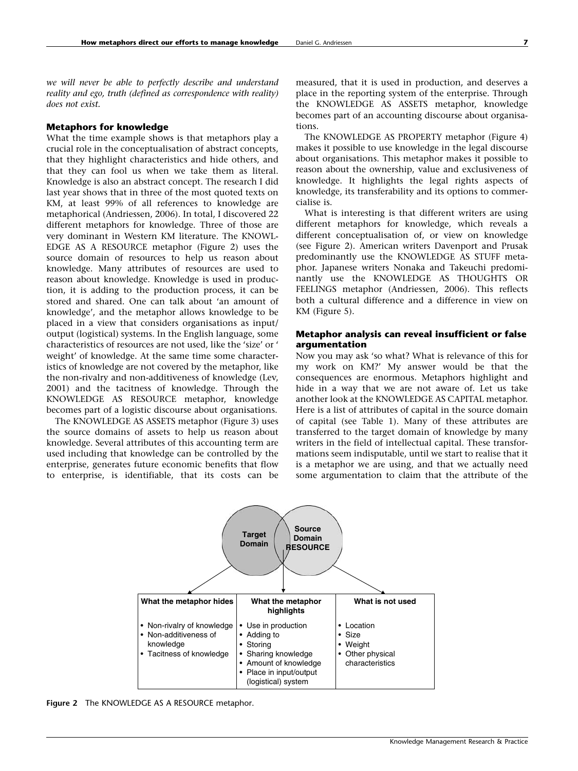we will never be able to perfectly describe and understand reality and ego, truth (defined as correspondence with reality) does not exist.

#### Metaphors for knowledge

What the time example shows is that metaphors play a crucial role in the conceptualisation of abstract concepts, that they highlight characteristics and hide others, and that they can fool us when we take them as literal. Knowledge is also an abstract concept. The research I did last year shows that in three of the most quoted texts on KM, at least 99% of all references to knowledge are metaphorical (Andriessen, 2006). In total, I discovered 22 different metaphors for knowledge. Three of those are very dominant in Western KM literature. The KNOWL-EDGE AS A RESOURCE metaphor (Figure 2) uses the source domain of resources to help us reason about knowledge. Many attributes of resources are used to reason about knowledge. Knowledge is used in production, it is adding to the production process, it can be stored and shared. One can talk about 'an amount of knowledge', and the metaphor allows knowledge to be placed in a view that considers organisations as input/ output (logistical) systems. In the English language, some characteristics of resources are not used, like the 'size' or ' weight' of knowledge. At the same time some characteristics of knowledge are not covered by the metaphor, like the non-rivalry and non-additiveness of knowledge (Lev, 2001) and the tacitness of knowledge. Through the KNOWLEDGE AS RESOURCE metaphor, knowledge becomes part of a logistic discourse about organisations.

The KNOWLEDGE AS ASSETS metaphor (Figure 3) uses the source domains of assets to help us reason about knowledge. Several attributes of this accounting term are used including that knowledge can be controlled by the enterprise, generates future economic benefits that flow to enterprise, is identifiable, that its costs can be

measured, that it is used in production, and deserves a place in the reporting system of the enterprise. Through the KNOWLEDGE AS ASSETS metaphor, knowledge becomes part of an accounting discourse about organisations.

The KNOWLEDGE AS PROPERTY metaphor (Figure 4) makes it possible to use knowledge in the legal discourse about organisations. This metaphor makes it possible to reason about the ownership, value and exclusiveness of knowledge. It highlights the legal rights aspects of knowledge, its transferability and its options to commercialise is.

What is interesting is that different writers are using different metaphors for knowledge, which reveals a different conceptualisation of, or view on knowledge (see Figure 2). American writers Davenport and Prusak predominantly use the KNOWLEDGE AS STUFF metaphor. Japanese writers Nonaka and Takeuchi predominantly use the KNOWLEDGE AS THOUGHTS OR FEELINGS metaphor (Andriessen, 2006). This reflects both a cultural difference and a difference in view on KM (Figure 5).

# Metaphor analysis can reveal insufficient or false argumentation

Now you may ask 'so what? What is relevance of this for my work on KM?' My answer would be that the consequences are enormous. Metaphors highlight and hide in a way that we are not aware of. Let us take another look at the KNOWLEDGE AS CAPITAL metaphor. Here is a list of attributes of capital in the source domain of capital (see Table 1). Many of these attributes are transferred to the target domain of knowledge by many writers in the field of intellectual capital. These transformations seem indisputable, until we start to realise that it is a metaphor we are using, and that we actually need some argumentation to claim that the attribute of the



Figure 2 The KNOWLEDGE AS A RESOURCE metaphor.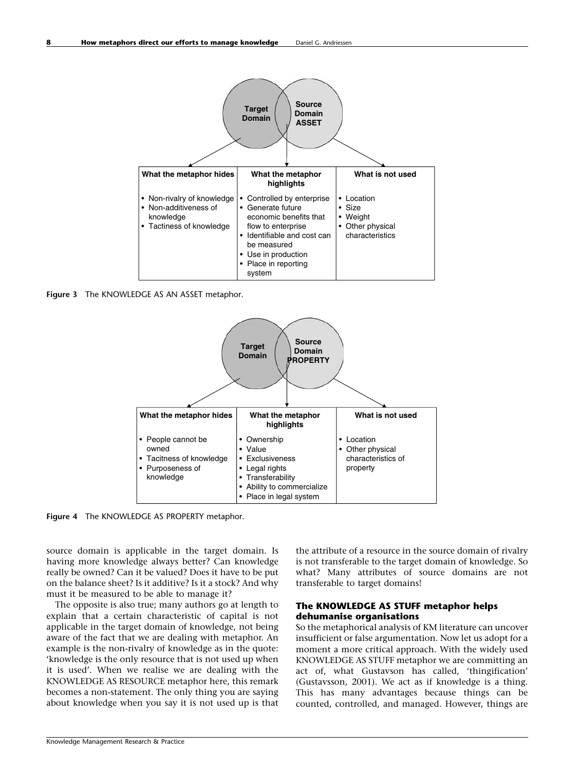

Figure 3 The KNOWLEDGE AS AN ASSET metaphor.



Figure 4 The KNOWLEDGE AS PROPERTY metaphor.

source domain is applicable in the target domain. Is having more knowledge always better? Can knowledge really be owned? Can it be valued? Does it have to be put on the balance sheet? Is it additive? Is it a stock? And why must it be measured to be able to manage it?

The opposite is also true; many authors go at length to explain that a certain characteristic of capital is not applicable in the target domain of knowledge, not being aware of the fact that we are dealing with metaphor. An example is the non-rivalry of knowledge as in the quote: 'knowledge is the only resource that is not used up when it is used'. When we realise we are dealing with the KNOWLEDGE AS RESOURCE metaphor here, this remark becomes a non-statement. The only thing you are saying about knowledge when you say it is not used up is that

the attribute of a resource in the source domain of rivalry is not transferable to the target domain of knowledge. So what? Many attributes of source domains are not transferable to target domains!

## The KNOWLEDGE AS STUFF metaphor helps dehumanise organisations

So the metaphorical analysis of KM literature can uncover insufficient or false argumentation. Now let us adopt for a moment a more critical approach. With the widely used KNOWLEDGE AS STUFF metaphor we are committing an act of, what Gustavson has called, 'thingification' (Gustavsson, 2001). We act as if knowledge is a thing. This has many advantages because things can be counted, controlled, and managed. However, things are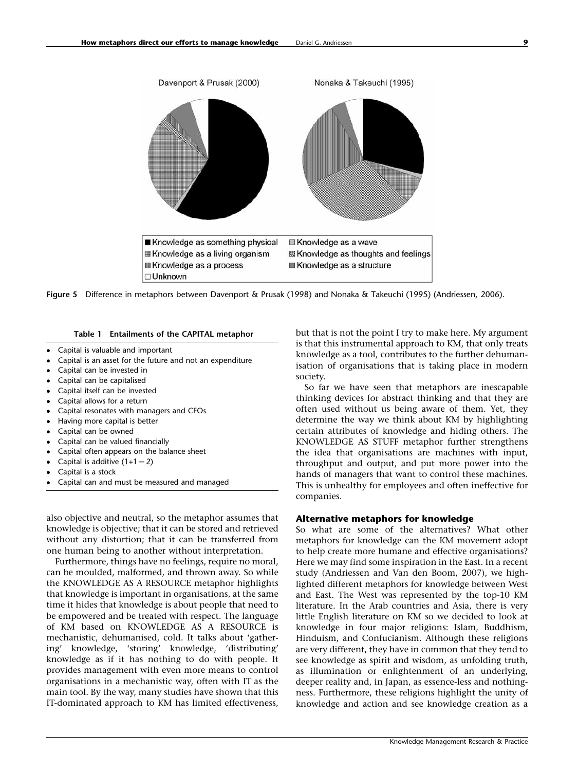

Figure 5 Difference in metaphors between Davenport & Prusak (1998) and Nonaka & Takeuchi (1995) (Andriessen, 2006).

#### Table 1 Entailments of the CAPITAL metaphor

- $\bullet$ Capital is valuable and important
- $\bullet$ Capital is an asset for the future and not an expenditure
- -Capital can be invested in
- -Capital can be capitalised
- -Capital itself can be invested
- $\bullet$ Capital allows for a return
- $\bullet$ Capital resonates with managers and CFOs
- $\bullet$ Having more capital is better
- $\bullet$ Capital can be owned
- $\bullet$ Capital can be valued financially
- $\bullet$ Capital often appears on the balance sheet
- $\bullet$ Capital is additive  $(1+1 = 2)$
- -Capital is a stock
- -Capital can and must be measured and managed

also objective and neutral, so the metaphor assumes that knowledge is objective; that it can be stored and retrieved without any distortion; that it can be transferred from one human being to another without interpretation.

Furthermore, things have no feelings, require no moral, can be moulded, malformed, and thrown away. So while the KNOWLEDGE AS A RESOURCE metaphor highlights that knowledge is important in organisations, at the same time it hides that knowledge is about people that need to be empowered and be treated with respect. The language of KM based on KNOWLEDGE AS A RESOURCE is mechanistic, dehumanised, cold. It talks about 'gathering' knowledge, 'storing' knowledge, 'distributing' knowledge as if it has nothing to do with people. It provides management with even more means to control organisations in a mechanistic way, often with IT as the main tool. By the way, many studies have shown that this IT-dominated approach to KM has limited effectiveness,

but that is not the point I try to make here. My argument is that this instrumental approach to KM, that only treats knowledge as a tool, contributes to the further dehumanisation of organisations that is taking place in modern society.

So far we have seen that metaphors are inescapable thinking devices for abstract thinking and that they are often used without us being aware of them. Yet, they determine the way we think about KM by highlighting certain attributes of knowledge and hiding others. The KNOWLEDGE AS STUFF metaphor further strengthens the idea that organisations are machines with input, throughput and output, and put more power into the hands of managers that want to control these machines. This is unhealthy for employees and often ineffective for companies.

#### Alternative metaphors for knowledge

So what are some of the alternatives? What other metaphors for knowledge can the KM movement adopt to help create more humane and effective organisations? Here we may find some inspiration in the East. In a recent study (Andriessen and Van den Boom, 2007), we highlighted different metaphors for knowledge between West and East. The West was represented by the top-10 KM literature. In the Arab countries and Asia, there is very little English literature on KM so we decided to look at knowledge in four major religions: Islam, Buddhism, Hinduism, and Confucianism. Although these religions are very different, they have in common that they tend to see knowledge as spirit and wisdom, as unfolding truth, as illumination or enlightenment of an underlying, deeper reality and, in Japan, as essence-less and nothingness. Furthermore, these religions highlight the unity of knowledge and action and see knowledge creation as a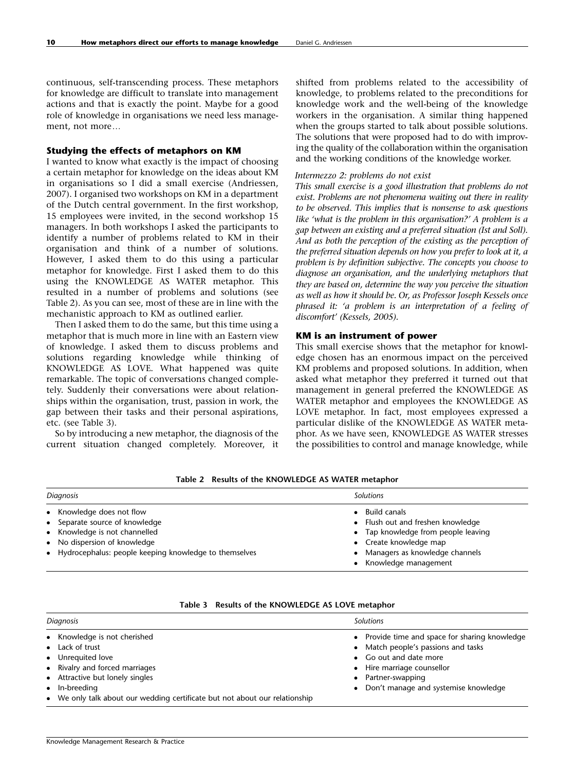continuous, self-transcending process. These metaphors for knowledge are difficult to translate into management actions and that is exactly the point. Maybe for a good role of knowledge in organisations we need less management, not more...

#### Studying the effects of metaphors on KM

I wanted to know what exactly is the impact of choosing a certain metaphor for knowledge on the ideas about KM in organisations so I did a small exercise (Andriessen, 2007). I organised two workshops on KM in a department of the Dutch central government. In the first workshop, 15 employees were invited, in the second workshop 15 managers. In both workshops I asked the participants to identify a number of problems related to KM in their organisation and think of a number of solutions. However, I asked them to do this using a particular metaphor for knowledge. First I asked them to do this using the KNOWLEDGE AS WATER metaphor. This resulted in a number of problems and solutions (see Table 2). As you can see, most of these are in line with the mechanistic approach to KM as outlined earlier.

Then I asked them to do the same, but this time using a metaphor that is much more in line with an Eastern view of knowledge. I asked them to discuss problems and solutions regarding knowledge while thinking of KNOWLEDGE AS LOVE. What happened was quite remarkable. The topic of conversations changed completely. Suddenly their conversations were about relationships within the organisation, trust, passion in work, the gap between their tasks and their personal aspirations, etc. (see Table 3).

So by introducing a new metaphor, the diagnosis of the current situation changed completely. Moreover, it shifted from problems related to the accessibility of knowledge, to problems related to the preconditions for knowledge work and the well-being of the knowledge workers in the organisation. A similar thing happened when the groups started to talk about possible solutions. The solutions that were proposed had to do with improving the quality of the collaboration within the organisation and the working conditions of the knowledge worker.

#### Intermezzo 2: problems do not exist

This small exercise is a good illustration that problems do not exist. Problems are not phenomena waiting out there in reality to be observed. This implies that is nonsense to ask questions like 'what is the problem in this organisation?' A problem is a gap between an existing and a preferred situation (Ist and Soll). And as both the perception of the existing as the perception of the preferred situation depends on how you prefer to look at it, a problem is by definition subjective. The concepts you choose to diagnose an organisation, and the underlying metaphors that they are based on, determine the way you perceive the situation as well as how it should be. Or, as Professor Joseph Kessels once phrased it: 'a problem is an interpretation of a feeling of discomfort' (Kessels, 2005).

#### KM is an instrument of power

This small exercise shows that the metaphor for knowledge chosen has an enormous impact on the perceived KM problems and proposed solutions. In addition, when asked what metaphor they preferred it turned out that management in general preferred the KNOWLEDGE AS WATER metaphor and employees the KNOWLEDGE AS LOVE metaphor. In fact, most employees expressed a particular dislike of the KNOWLEDGE AS WATER metaphor. As we have seen, KNOWLEDGE AS WATER stresses the possibilities to control and manage knowledge, while

| Diagnosis                                                                                                                    | Solutions                                                                                                                       |
|------------------------------------------------------------------------------------------------------------------------------|---------------------------------------------------------------------------------------------------------------------------------|
| • Knowledge does not flow<br>• Separate source of knowledge<br>• Knowledge is not channelled<br>• No dispersion of knowledge | Build canals<br>$\bullet$<br>• Flush out and freshen knowledge<br>• Tap knowledge from people leaving<br>• Create knowledge map |
| • Hydrocephalus: people keeping knowledge to themselves                                                                      | • Managers as knowledge channels<br>• Knowledge management                                                                      |

Table 2 Results of the KNOWLEDGE AS WATER metaphor

Table 3 Results of the KNOWLEDGE AS LOVE metaphor

| Diagnosis                                                                   | Solutions                                      |  |  |  |
|-----------------------------------------------------------------------------|------------------------------------------------|--|--|--|
| • Knowledge is not cherished                                                | • Provide time and space for sharing knowledge |  |  |  |
| • Lack of trust                                                             | • Match people's passions and tasks            |  |  |  |
| • Unrequited love                                                           | • Go out and date more                         |  |  |  |
| • Rivalry and forced marriages                                              | • Hire marriage counsellor                     |  |  |  |
| • Attractive but lonely singles                                             | • Partner-swapping                             |  |  |  |
| $\bullet$ In-breeding                                                       | Don't manage and systemise knowledge           |  |  |  |
| • We only talk about our wedding certificate but not about our relationship |                                                |  |  |  |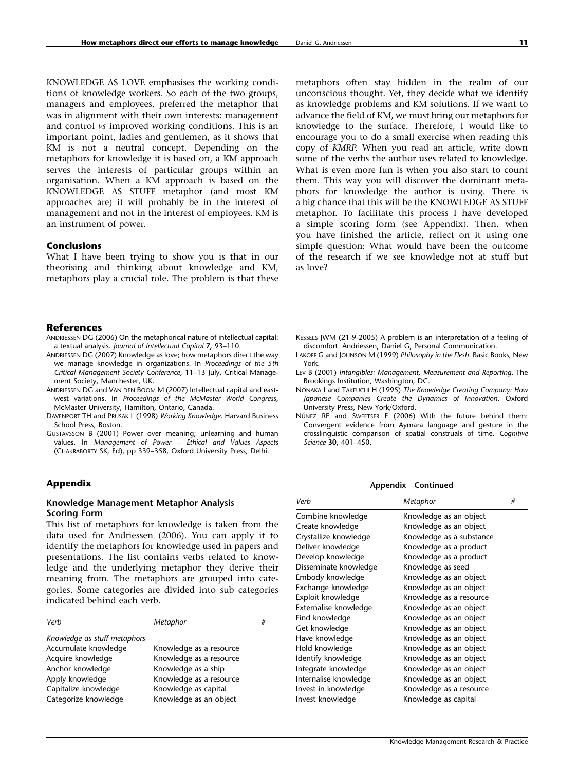KNOWLEDGE AS LOVE emphasises the working conditions of knowledge workers. So each of the two groups, managers and employees, preferred the metaphor that was in alignment with their own interests: management and control vs improved working conditions. This is an important point, ladies and gentlemen, as it shows that KM is not a neutral concept. Depending on the metaphors for knowledge it is based on, a KM approach serves the interests of particular groups within an organisation. When a KM approach is based on the KNOWLEDGE AS STUFF metaphor (and most KM approaches are) it will probably be in the interest of management and not in the interest of employees. KM is an instrument of power.

#### Conclusions

What I have been trying to show you is that in our theorising and thinking about knowledge and KM, metaphors play a crucial role. The problem is that these

#### References

- ANDRIESSEN DG (2006) On the metaphorical nature of intellectual capital: a textual analysis. Journal of Intellectual Capital 7, 93–110.
- ANDRIESSEN DG (2007) Knowledge as love; how metaphors direct the way we manage knowledge in organizations. In Proceedings of the 5th Critical Management Society Conference, 11–13 July, Critical Management Society, Manchester, UK.
- ANDRIESSEN DG and VAN DEN BOOM M (2007) Intellectual capital and eastwest variations. In Proceedings of the McMaster World Congress, McMaster University, Hamilton, Ontario, Canada.
- DAVENPORT TH and PRUSAK L (1998) Working Knowledge. Harvard Business School Press, Boston.
- GUSTAVSSON B (2001) Power over meaning; unlearning and human values. In Management of Power – Ethical and Values Aspects (CHAKRABORTY SK, Ed), pp 339–358, Oxford University Press, Delhi.

#### Appendix

#### Knowledge Management Metaphor Analysis Scoring Form

This list of metaphors for knowledge is taken from the data used for Andriessen (2006). You can apply it to identify the metaphors for knowledge used in papers and presentations. The list contains verbs related to knowledge and the underlying metaphor they derive their meaning from. The metaphors are grouped into categories. Some categories are divided into sub categories indicated behind each verb.

| Verh                         | Metaphor                | # |
|------------------------------|-------------------------|---|
| Knowledge as stuff metaphors |                         |   |
| Accumulate knowledge         | Knowledge as a resource |   |
| Acquire knowledge            | Knowledge as a resource |   |
| Anchor knowledge             | Knowledge as a ship     |   |
| Apply knowledge              | Knowledge as a resource |   |
| Capitalize knowledge         | Knowledge as capital    |   |
| Categorize knowledge         | Knowledge as an object  |   |

metaphors often stay hidden in the realm of our unconscious thought. Yet, they decide what we identify as knowledge problems and KM solutions. If we want to advance the field of KM, we must bring our metaphors for knowledge to the surface. Therefore, I would like to encourage you to do a small exercise when reading this copy of KMRP. When you read an article, write down some of the verbs the author uses related to knowledge. What is even more fun is when you also start to count them. This way you will discover the dominant metaphors for knowledge the author is using. There is a big chance that this will be the KNOWLEDGE AS STUFF metaphor. To facilitate this process I have developed a simple scoring form (see Appendix). Then, when you have finished the article, reflect on it using one simple question: What would have been the outcome of the research if we see knowledge not at stuff but as love?

- KESSELS JWM (21-9-2005) A problem is an interpretation of a feeling of discomfort. Andriessen, Daniel G, Personal Communication.
- LAKOFF G and JOHNSON M (1999) Philosophy in the Flesh. Basic Books, New York.
- LEV B (2001) Intangibles: Management, Measurement and Reporting. The Brookings Institution, Washington, DC.
- NONAKA I and TAKEUCHI H (1995) The Knowledge Creating Company: How Japanese Companies Create the Dynamics of Innovation. Oxford University Press, New York/Oxford.
- NÚNEZ RE and SWEETSER E (2006) With the future behind them: Convergent evidence from Aymara language and gesture in the crosslinguistic comparison of spatial construals of time. Cognitive Science 30, 401–450.

#### Appendix Continued

| Verb                  | Metaphor                 | # |
|-----------------------|--------------------------|---|
| Combine knowledge     | Knowledge as an object   |   |
| Create knowledge      | Knowledge as an object   |   |
| Crystallize knowledge | Knowledge as a substance |   |
| Deliver knowledge     | Knowledge as a product   |   |
| Develop knowledge     | Knowledge as a product   |   |
| Disseminate knowledge | Knowledge as seed        |   |
| Embody knowledge      | Knowledge as an object   |   |
| Exchange knowledge    | Knowledge as an object   |   |
| Exploit knowledge     | Knowledge as a resource  |   |
| Externalise knowledge | Knowledge as an object   |   |
| Find knowledge        | Knowledge as an object   |   |
| Get knowledge         | Knowledge as an object   |   |
| Have knowledge        | Knowledge as an object   |   |
| Hold knowledge        | Knowledge as an object   |   |
| Identify knowledge    | Knowledge as an object   |   |
| Integrate knowledge   | Knowledge as an object   |   |
| Internalise knowledge | Knowledge as an object   |   |
| Invest in knowledge   | Knowledge as a resource  |   |
| Invest knowledge      | Knowledge as capital     |   |